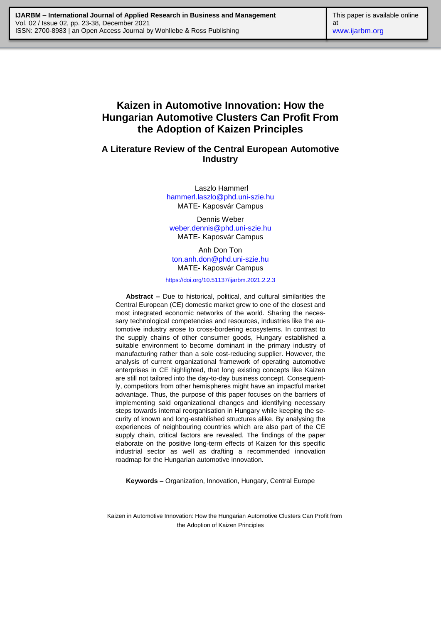# **Kaizen in Automotive Innovation: How the Hungarian Automotive Clusters Can Profit From the Adoption of Kaizen Principles**

# **A Literature Review of the Central European Automotive Industry**

Laszlo Hammerl [hammerl.laszlo@phd.uni-szie.hu](mailto:hammerl.laszlo@phd.uni-szie.hu) MATE- Kaposvár Campus

Dennis Weber [weber.dennis@phd.uni-szie.hu](mailto:weber.dennis@phd.uni-szie.hu) MATE- Kaposvár Campus

Anh Don Ton [ton.anh.don@phd.uni-szie.hu](mailto:ton.anh.don@phd.uni-szie.hu) MATE- Kaposvár Campus

<https://doi.org/10.51137/ijarbm.2021.2.2.3>

**Abstract –** Due to historical, political, and cultural similarities the Central European (CE) domestic market grew to one of the closest and most integrated economic networks of the world. Sharing the necessary technological competencies and resources, industries like the automotive industry arose to cross-bordering ecosystems. In contrast to the supply chains of other consumer goods, Hungary established a suitable environment to become dominant in the primary industry of manufacturing rather than a sole cost-reducing supplier. However, the analysis of current organizational framework of operating automotive enterprises in CE highlighted, that long existing concepts like Kaizen are still not tailored into the day-to-day business concept. Consequently, competitors from other hemispheres might have an impactful market advantage. Thus, the purpose of this paper focuses on the barriers of implementing said organizational changes and identifying necessary steps towards internal reorganisation in Hungary while keeping the security of known and long-established structures alike. By analysing the experiences of neighbouring countries which are also part of the CE supply chain, critical factors are revealed. The findings of the paper elaborate on the positive long-term effects of Kaizen for this specific industrial sector as well as drafting a recommended innovation roadmap for the Hungarian automotive innovation.

**Keywords –** Organization, Innovation, Hungary, Central Europe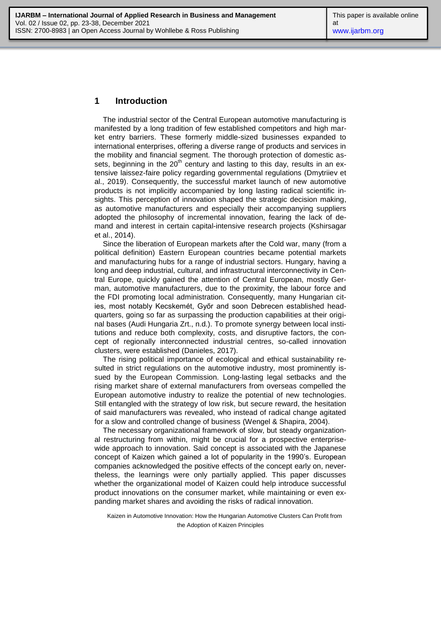### **1 Introduction**

The industrial sector of the Central European automotive manufacturing is manifested by a long tradition of few established competitors and high market entry barriers. These formerly middle-sized businesses expanded to international enterprises, offering a diverse range of products and services in the mobility and financial segment. The thorough protection of domestic assets, beginning in the  $20<sup>th</sup>$  century and lasting to this day, results in an extensive laissez-faire policy regarding governmental regulations (Dmytriiev et al., 2019). Consequently, the successful market launch of new automotive products is not implicitly accompanied by long lasting radical scientific insights. This perception of innovation shaped the strategic decision making, as automotive manufacturers and especially their accompanying suppliers adopted the philosophy of incremental innovation, fearing the lack of demand and interest in certain capital-intensive research projects (Kshirsagar et al., 2014).

Since the liberation of European markets after the Cold war, many (from a political definition) Eastern European countries became potential markets and manufacturing hubs for a range of industrial sectors. Hungary, having a long and deep industrial, cultural, and infrastructural interconnectivity in Central Europe, quickly gained the attention of Central European, mostly German, automotive manufacturers, due to the proximity, the labour force and the FDI promoting local administration. Consequently, many Hungarian cities, most notably Kecskemét, Győr and soon Debrecen established headquarters, going so far as surpassing the production capabilities at their original bases (Audi Hungaria Zrt., n.d.). To promote synergy between local institutions and reduce both complexity, costs, and disruptive factors, the concept of regionally interconnected industrial centres, so-called innovation clusters, were established (Danieles, 2017).

The rising political importance of ecological and ethical sustainability resulted in strict regulations on the automotive industry, most prominently issued by the European Commission. Long-lasting legal setbacks and the rising market share of external manufacturers from overseas compelled the European automotive industry to realize the potential of new technologies. Still entangled with the strategy of low risk, but secure reward, the hesitation of said manufacturers was revealed, who instead of radical change agitated for a slow and controlled change of business (Wengel & Shapira, 2004).

The necessary organizational framework of slow, but steady organizational restructuring from within, might be crucial for a prospective enterprisewide approach to innovation. Said concept is associated with the Japanese concept of Kaizen which gained a lot of popularity in the 1990's. European companies acknowledged the positive effects of the concept early on, nevertheless, the learnings were only partially applied. This paper discusses whether the organizational model of Kaizen could help introduce successful product innovations on the consumer market, while maintaining or even expanding market shares and avoiding the risks of radical innovation.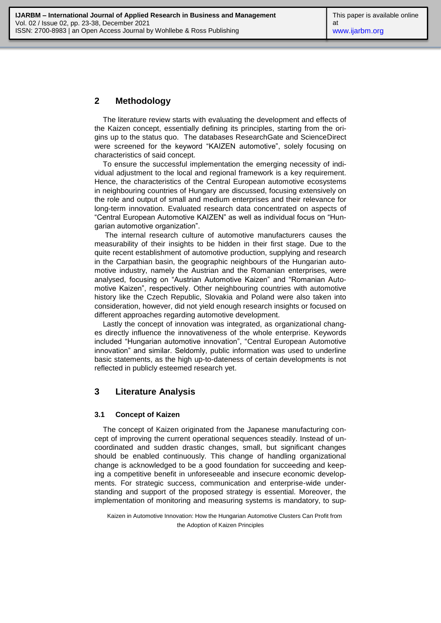# **2 Methodology**

The literature review starts with evaluating the development and effects of the Kaizen concept, essentially defining its principles, starting from the origins up to the status quo. The databases ResearchGate and ScienceDirect were screened for the keyword "KAIZEN automotive", solely focusing on characteristics of said concept.

To ensure the successful implementation the emerging necessity of individual adjustment to the local and regional framework is a key requirement. Hence, the characteristics of the Central European automotive ecosystems in neighbouring countries of Hungary are discussed, focusing extensively on the role and output of small and medium enterprises and their relevance for long-term innovation. Evaluated research data concentrated on aspects of "Central European Automotive KAIZEN" as well as individual focus on "Hungarian automotive organization".

The internal research culture of automotive manufacturers causes the measurability of their insights to be hidden in their first stage. Due to the quite recent establishment of automotive production, supplying and research in the Carpathian basin, the geographic neighbours of the Hungarian automotive industry, namely the Austrian and the Romanian enterprises, were analysed, focusing on "Austrian Automotive Kaizen" and "Romanian Automotive Kaizen", respectively. Other neighbouring countries with automotive history like the Czech Republic, Slovakia and Poland were also taken into consideration, however, did not yield enough research insights or focused on different approaches regarding automotive development.

Lastly the concept of innovation was integrated, as organizational changes directly influence the innovativeness of the whole enterprise. Keywords included "Hungarian automotive innovation", "Central European Automotive innovation" and similar. Seldomly, public information was used to underline basic statements, as the high up-to-dateness of certain developments is not reflected in publicly esteemed research yet.

# **3 Literature Analysis**

### **3.1 Concept of Kaizen**

The concept of Kaizen originated from the Japanese manufacturing concept of improving the current operational sequences steadily. Instead of uncoordinated and sudden drastic changes, small, but significant changes should be enabled continuously. This change of handling organizational change is acknowledged to be a good foundation for succeeding and keeping a competitive benefit in unforeseeable and insecure economic developments. For strategic success, communication and enterprise-wide understanding and support of the proposed strategy is essential. Moreover, the implementation of monitoring and measuring systems is mandatory, to sup-

Kaizen in Automotive Innovation: How the Hungarian Automotive Clusters Can Profit from the Adoption of Kaizen Principles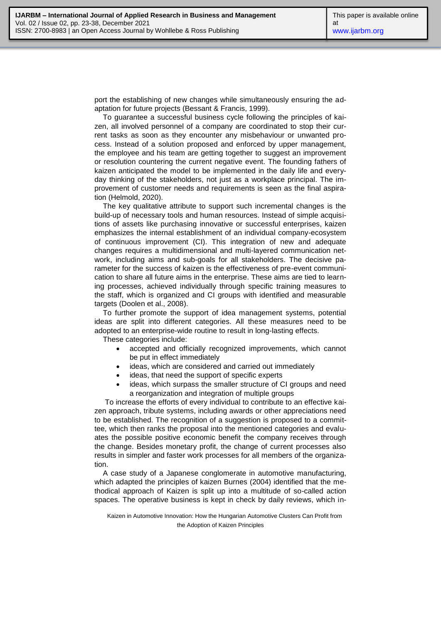port the establishing of new changes while simultaneously ensuring the adaptation for future projects (Bessant & Francis, 1999).

To guarantee a successful business cycle following the principles of kaizen, all involved personnel of a company are coordinated to stop their current tasks as soon as they encounter any misbehaviour or unwanted process. Instead of a solution proposed and enforced by upper management, the employee and his team are getting together to suggest an improvement or resolution countering the current negative event. The founding fathers of kaizen anticipated the model to be implemented in the daily life and everyday thinking of the stakeholders, not just as a workplace principal. The improvement of customer needs and requirements is seen as the final aspiration (Helmold, 2020).

The key qualitative attribute to support such incremental changes is the build-up of necessary tools and human resources. Instead of simple acquisitions of assets like purchasing innovative or successful enterprises, kaizen emphasizes the internal establishment of an individual company-ecosystem of continuous improvement (CI). This integration of new and adequate changes requires a multidimensional and multi-layered communication network, including aims and sub-goals for all stakeholders. The decisive parameter for the success of kaizen is the effectiveness of pre-event communication to share all future aims in the enterprise. These aims are tied to learning processes, achieved individually through specific training measures to the staff, which is organized and CI groups with identified and measurable targets (Doolen et al., 2008).

To further promote the support of idea management systems, potential ideas are split into different categories. All these measures need to be adopted to an enterprise-wide routine to result in long-lasting effects.

These categories include:

- accepted and officially recognized improvements, which cannot be put in effect immediately
- ideas, which are considered and carried out immediately
- ideas, that need the support of specific experts
- ideas, which surpass the smaller structure of CI groups and need a reorganization and integration of multiple groups

To increase the efforts of every individual to contribute to an effective kaizen approach, tribute systems, including awards or other appreciations need to be established. The recognition of a suggestion is proposed to a committee, which then ranks the proposal into the mentioned categories and evaluates the possible positive economic benefit the company receives through the change. Besides monetary profit, the change of current processes also results in simpler and faster work processes for all members of the organization.

A case study of a Japanese conglomerate in automotive manufacturing, which adapted the principles of kaizen Burnes (2004) identified that the methodical approach of Kaizen is split up into a multitude of so-called action spaces. The operative business is kept in check by daily reviews, which in-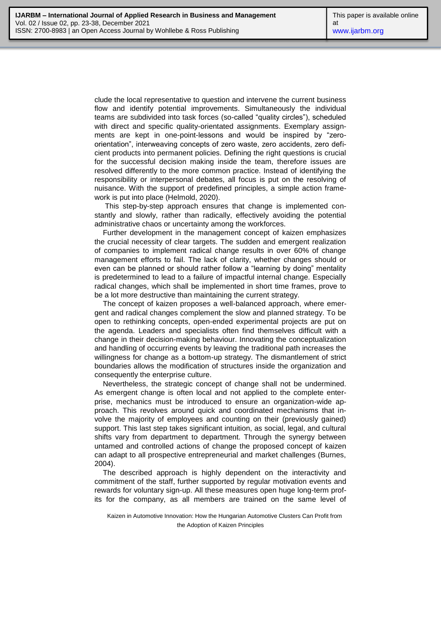clude the local representative to question and intervene the current business flow and identify potential improvements. Simultaneously the individual teams are subdivided into task forces (so-called "quality circles"), scheduled with direct and specific quality-orientated assignments. Exemplary assignments are kept in one-point-lessons and would be inspired by "zeroorientation", interweaving concepts of zero waste, zero accidents, zero deficient products into permanent policies. Defining the right questions is crucial for the successful decision making inside the team, therefore issues are resolved differently to the more common practice. Instead of identifying the responsibility or interpersonal debates, all focus is put on the resolving of nuisance. With the support of predefined principles, a simple action framework is put into place (Helmold, 2020).

This step-by-step approach ensures that change is implemented constantly and slowly, rather than radically, effectively avoiding the potential administrative chaos or uncertainty among the workforces.

Further development in the management concept of kaizen emphasizes the crucial necessity of clear targets. The sudden and emergent realization of companies to implement radical change results in over 60% of change management efforts to fail. The lack of clarity, whether changes should or even can be planned or should rather follow a "learning by doing" mentality is predetermined to lead to a failure of impactful internal change. Especially radical changes, which shall be implemented in short time frames, prove to be a lot more destructive than maintaining the current strategy.

The concept of kaizen proposes a well-balanced approach, where emergent and radical changes complement the slow and planned strategy. To be open to rethinking concepts, open-ended experimental projects are put on the agenda. Leaders and specialists often find themselves difficult with a change in their decision-making behaviour. Innovating the conceptualization and handling of occurring events by leaving the traditional path increases the willingness for change as a bottom-up strategy. The dismantlement of strict boundaries allows the modification of structures inside the organization and consequently the enterprise culture.

Nevertheless, the strategic concept of change shall not be undermined. As emergent change is often local and not applied to the complete enterprise, mechanics must be introduced to ensure an organization-wide approach. This revolves around quick and coordinated mechanisms that involve the majority of employees and counting on their (previously gained) support. This last step takes significant intuition, as social, legal, and cultural shifts vary from department to department. Through the synergy between untamed and controlled actions of change the proposed concept of kaizen can adapt to all prospective entrepreneurial and market challenges (Burnes, 2004).

The described approach is highly dependent on the interactivity and commitment of the staff, further supported by regular motivation events and rewards for voluntary sign-up. All these measures open huge long-term profits for the company, as all members are trained on the same level of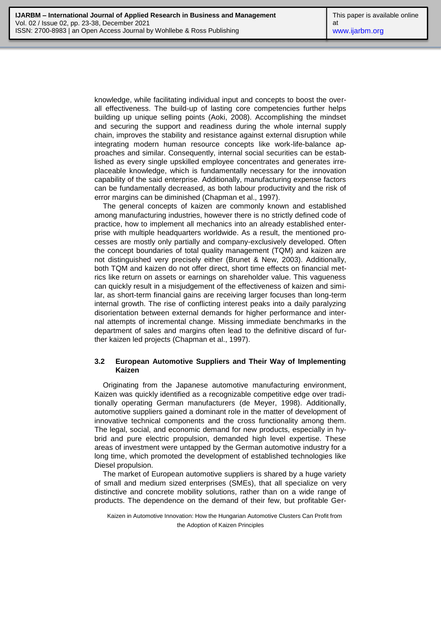knowledge, while facilitating individual input and concepts to boost the overall effectiveness. The build-up of lasting core competencies further helps building up unique selling points (Aoki, 2008). Accomplishing the mindset and securing the support and readiness during the whole internal supply chain, improves the stability and resistance against external disruption while integrating modern human resource concepts like work-life-balance approaches and similar. Consequently, internal social securities can be established as every single upskilled employee concentrates and generates irreplaceable knowledge, which is fundamentally necessary for the innovation capability of the said enterprise. Additionally, manufacturing expense factors can be fundamentally decreased, as both labour productivity and the risk of error margins can be diminished (Chapman et al., 1997).

The general concepts of kaizen are commonly known and established among manufacturing industries, however there is no strictly defined code of practice, how to implement all mechanics into an already established enterprise with multiple headquarters worldwide. As a result, the mentioned processes are mostly only partially and company-exclusively developed. Often the concept boundaries of total quality management (TQM) and kaizen are not distinguished very precisely either (Brunet & New, 2003). Additionally, both TQM and kaizen do not offer direct, short time effects on financial metrics like return on assets or earnings on shareholder value. This vagueness can quickly result in a misjudgement of the effectiveness of kaizen and similar, as short-term financial gains are receiving larger focuses than long-term internal growth. The rise of conflicting interest peaks into a daily paralyzing disorientation between external demands for higher performance and internal attempts of incremental change. Missing immediate benchmarks in the department of sales and margins often lead to the definitive discard of further kaizen led projects (Chapman et al., 1997).

#### **3.2 European Automotive Suppliers and Their Way of Implementing Kaizen**

Originating from the Japanese automotive manufacturing environment, Kaizen was quickly identified as a recognizable competitive edge over traditionally operating German manufacturers (de Meyer, 1998). Additionally, automotive suppliers gained a dominant role in the matter of development of innovative technical components and the cross functionality among them. The legal, social, and economic demand for new products, especially in hybrid and pure electric propulsion, demanded high level expertise. These areas of investment were untapped by the German automotive industry for a long time, which promoted the development of established technologies like Diesel propulsion.

The market of European automotive suppliers is shared by a huge variety of small and medium sized enterprises (SMEs), that all specialize on very distinctive and concrete mobility solutions, rather than on a wide range of products. The dependence on the demand of their few, but profitable Ger-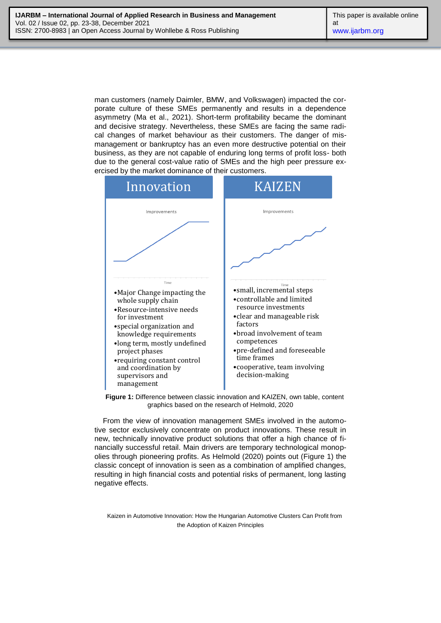man customers (namely Daimler, BMW, and Volkswagen) impacted the corporate culture of these SMEs permanently and results in a dependence asymmetry (Ma et al., 2021). Short-term profitability became the dominant and decisive strategy. Nevertheless, these SMEs are facing the same radical changes of market behaviour as their customers. The danger of mismanagement or bankruptcy has an even more destructive potential on their business, as they are not capable of enduring long terms of profit loss- both due to the general cost-value ratio of SMEs and the high peer pressure exercised by the market dominance of their customers.



**Figure 1:** Difference between classic innovation and KAIZEN, own table, content graphics based on the research of Helmold, 2020

From the view of innovation management SMEs involved in the automotive sector exclusively concentrate on product innovations. These result in new, technically innovative product solutions that offer a high chance of financially successful retail. Main drivers are temporary technological monopolies through pioneering profits. As Helmold (2020) points out (Figure 1) the classic concept of innovation is seen as a combination of amplified changes, resulting in high financial costs and potential risks of permanent, long lasting negative effects.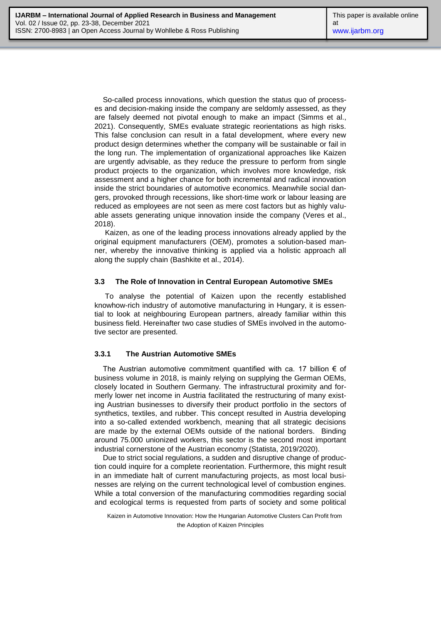So-called process innovations, which question the status quo of processes and decision-making inside the company are seldomly assessed, as they are falsely deemed not pivotal enough to make an impact (Simms et al., 2021). Consequently, SMEs evaluate strategic reorientations as high risks. This false conclusion can result in a fatal development, where every new product design determines whether the company will be sustainable or fail in the long run. The implementation of organizational approaches like Kaizen are urgently advisable, as they reduce the pressure to perform from single product projects to the organization, which involves more knowledge, risk assessment and a higher chance for both incremental and radical innovation inside the strict boundaries of automotive economics. Meanwhile social dangers, provoked through recessions, like short-time work or labour leasing are reduced as employees are not seen as mere cost factors but as highly valuable assets generating unique innovation inside the company (Veres et al., 2018).

Kaizen, as one of the leading process innovations already applied by the original equipment manufacturers (OEM), promotes a solution-based manner, whereby the innovative thinking is applied via a holistic approach all along the supply chain (Bashkite et al., 2014).

#### **3.3 The Role of Innovation in Central European Automotive SMEs**

To analyse the potential of Kaizen upon the recently established knowhow-rich industry of automotive manufacturing in Hungary, it is essential to look at neighbouring European partners, already familiar within this business field. Hereinafter two case studies of SMEs involved in the automotive sector are presented.

### **3.3.1 The Austrian Automotive SMEs**

The Austrian automotive commitment quantified with ca. 17 billion  $\epsilon$  of business volume in 2018, is mainly relying on supplying the German OEMs, closely located in Southern Germany. The infrastructural proximity and formerly lower net income in Austria facilitated the restructuring of many existing Austrian businesses to diversify their product portfolio in the sectors of synthetics, textiles, and rubber. This concept resulted in Austria developing into a so-called extended workbench, meaning that all strategic decisions are made by the external OEMs outside of the national borders. Binding around 75.000 unionized workers, this sector is the second most important industrial cornerstone of the Austrian economy (Statista, 2019/2020).

Due to strict social regulations, a sudden and disruptive change of production could inquire for a complete reorientation. Furthermore, this might result in an immediate halt of current manufacturing projects, as most local businesses are relying on the current technological level of combustion engines. While a total conversion of the manufacturing commodities regarding social and ecological terms is requested from parts of society and some political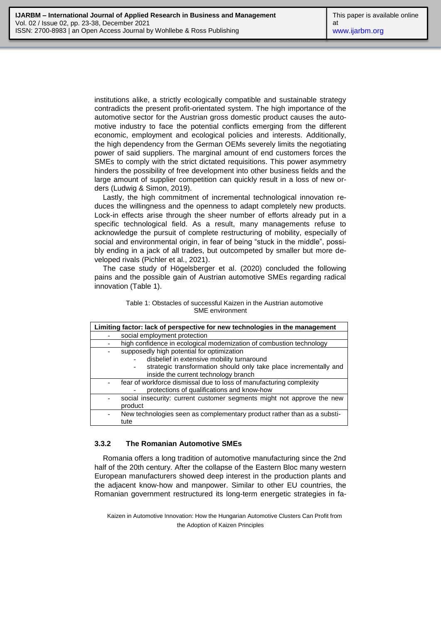institutions alike, a strictly ecologically compatible and sustainable strategy contradicts the present profit-orientated system. The high importance of the automotive sector for the Austrian gross domestic product causes the automotive industry to face the potential conflicts emerging from the different economic, employment and ecological policies and interests. Additionally, the high dependency from the German OEMs severely limits the negotiating power of said suppliers. The marginal amount of end customers forces the SMEs to comply with the strict dictated requisitions. This power asymmetry hinders the possibility of free development into other business fields and the large amount of supplier competition can quickly result in a loss of new orders (Ludwig & Simon, 2019).

Lastly, the high commitment of incremental technological innovation reduces the willingness and the openness to adapt completely new products. Lock-in effects arise through the sheer number of efforts already put in a specific technological field. As a result, many managements refuse to acknowledge the pursuit of complete restructuring of mobility, especially of social and environmental origin, in fear of being "stuck in the middle", possibly ending in a jack of all trades, but outcompeted by smaller but more developed rivals (Pichler et al., 2021).

The case study of Högelsberger et al. (2020) concluded the following pains and the possible gain of Austrian automotive SMEs regarding radical innovation (Table 1).

| Limiting factor: lack of perspective for new technologies in the management |                                                                         |
|-----------------------------------------------------------------------------|-------------------------------------------------------------------------|
|                                                                             | social employment protection                                            |
|                                                                             | high confidence in ecological modernization of combustion technology    |
|                                                                             | supposedly high potential for optimization                              |
|                                                                             | disbelief in extensive mobility turnaround                              |
|                                                                             | strategic transformation should only take place incrementally and       |
|                                                                             | inside the current technology branch                                    |
|                                                                             | fear of workforce dismissal due to loss of manufacturing complexity     |
|                                                                             | protections of qualifications and know-how                              |
|                                                                             | social insecurity: current customer segments might not approve the new  |
|                                                                             | product                                                                 |
|                                                                             | New technologies seen as complementary product rather than as a substi- |
|                                                                             | tute                                                                    |

Table 1: Obstacles of successful Kaizen in the Austrian automotive SME environment

### **3.3.2 The Romanian Automotive SMEs**

Romania offers a long tradition of automotive manufacturing since the 2nd half of the 20th century. After the collapse of the Eastern Bloc many western European manufacturers showed deep interest in the production plants and the adjacent know-how and manpower. Similar to other EU countries, the Romanian government restructured its long-term energetic strategies in fa-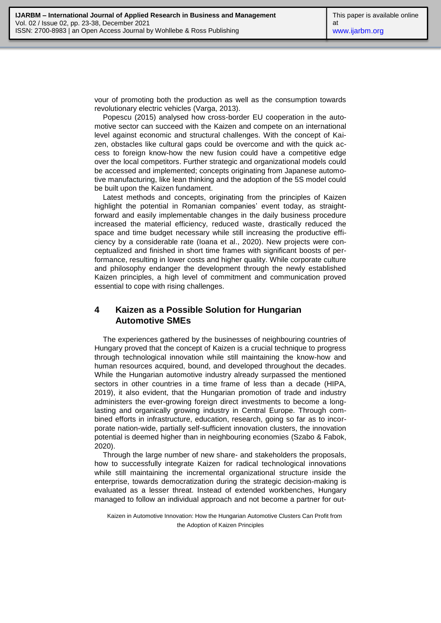vour of promoting both the production as well as the consumption towards revolutionary electric vehicles (Varga, 2013).

Popescu (2015) analysed how cross-border EU cooperation in the automotive sector can succeed with the Kaizen and compete on an international level against economic and structural challenges. With the concept of Kaizen, obstacles like cultural gaps could be overcome and with the quick access to foreign know-how the new fusion could have a competitive edge over the local competitors. Further strategic and organizational models could be accessed and implemented; concepts originating from Japanese automotive manufacturing, like lean thinking and the adoption of the 5S model could be built upon the Kaizen fundament.

Latest methods and concepts, originating from the principles of Kaizen highlight the potential in Romanian companies' event today, as straightforward and easily implementable changes in the daily business procedure increased the material efficiency, reduced waste, drastically reduced the space and time budget necessary while still increasing the productive efficiency by a considerable rate (Ioana et al., 2020). New projects were conceptualized and finished in short time frames with significant boosts of performance, resulting in lower costs and higher quality. While corporate culture and philosophy endanger the development through the newly established Kaizen principles, a high level of commitment and communication proved essential to cope with rising challenges.

# **4 Kaizen as a Possible Solution for Hungarian Automotive SMEs**

The experiences gathered by the businesses of neighbouring countries of Hungary proved that the concept of Kaizen is a crucial technique to progress through technological innovation while still maintaining the know-how and human resources acquired, bound, and developed throughout the decades. While the Hungarian automotive industry already surpassed the mentioned sectors in other countries in a time frame of less than a decade (HIPA, 2019), it also evident, that the Hungarian promotion of trade and industry administers the ever-growing foreign direct investments to become a longlasting and organically growing industry in Central Europe. Through combined efforts in infrastructure, education, research, going so far as to incorporate nation-wide, partially self-sufficient innovation clusters, the innovation potential is deemed higher than in neighbouring economies (Szabo & Fabok, 2020).

Through the large number of new share- and stakeholders the proposals, how to successfully integrate Kaizen for radical technological innovations while still maintaining the incremental organizational structure inside the enterprise, towards democratization during the strategic decision-making is evaluated as a lesser threat. Instead of extended workbenches, Hungary managed to follow an individual approach and not become a partner for out-

Kaizen in Automotive Innovation: How the Hungarian Automotive Clusters Can Profit from the Adoption of Kaizen Principles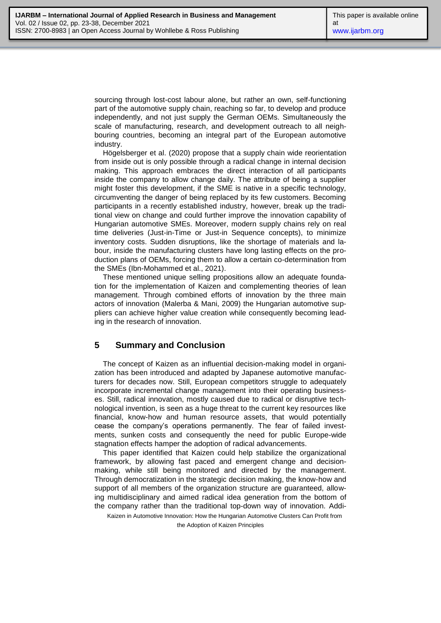sourcing through lost-cost labour alone, but rather an own, self-functioning part of the automotive supply chain, reaching so far, to develop and produce independently, and not just supply the German OEMs. Simultaneously the scale of manufacturing, research, and development outreach to all neighbouring countries, becoming an integral part of the European automotive industry.

Högelsberger et al. (2020) propose that a supply chain wide reorientation from inside out is only possible through a radical change in internal decision making. This approach embraces the direct interaction of all participants inside the company to allow change daily. The attribute of being a supplier might foster this development, if the SME is native in a specific technology, circumventing the danger of being replaced by its few customers. Becoming participants in a recently established industry, however, break up the traditional view on change and could further improve the innovation capability of Hungarian automotive SMEs. Moreover, modern supply chains rely on real time deliveries (Just-in-Time or Just-in Sequence concepts), to minimize inventory costs. Sudden disruptions, like the shortage of materials and labour, inside the manufacturing clusters have long lasting effects on the production plans of OEMs, forcing them to allow a certain co-determination from the SMEs (Ibn-Mohammed et al., 2021).

These mentioned unique selling propositions allow an adequate foundation for the implementation of Kaizen and complementing theories of lean management. Through combined efforts of innovation by the three main actors of innovation (Malerba & Mani, 2009) the Hungarian automotive suppliers can achieve higher value creation while consequently becoming leading in the research of innovation.

### **5 Summary and Conclusion**

The concept of Kaizen as an influential decision-making model in organization has been introduced and adapted by Japanese automotive manufacturers for decades now. Still, European competitors struggle to adequately incorporate incremental change management into their operating businesses. Still, radical innovation, mostly caused due to radical or disruptive technological invention, is seen as a huge threat to the current key resources like financial, know-how and human resource assets, that would potentially cease the company's operations permanently. The fear of failed investments, sunken costs and consequently the need for public Europe-wide stagnation effects hamper the adoption of radical advancements.

This paper identified that Kaizen could help stabilize the organizational framework, by allowing fast paced and emergent change and decisionmaking, while still being monitored and directed by the management. Through democratization in the strategic decision making, the know-how and support of all members of the organization structure are guaranteed, allowing multidisciplinary and aimed radical idea generation from the bottom of the company rather than the traditional top-down way of innovation. Addi-

Kaizen in Automotive Innovation: How the Hungarian Automotive Clusters Can Profit from

the Adoption of Kaizen Principles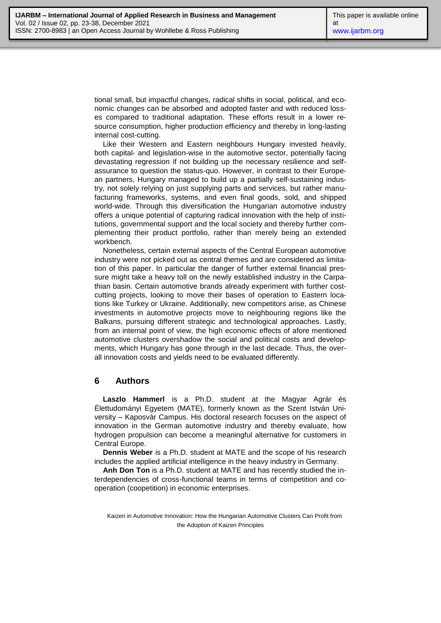tional small, but impactful changes, radical shifts in social, political, and economic changes can be absorbed and adopted faster and with reduced losses compared to traditional adaptation. These efforts result in a lower resource consumption, higher production efficiency and thereby in long-lasting internal cost-cutting.

Like their Western and Eastern neighbours Hungary invested heavily, both capital- and legislation-wise in the automotive sector, potentially facing devastating regression if not building up the necessary resilience and selfassurance to question the status-quo. However, in contrast to their European partners, Hungary managed to build up a partially self-sustaining industry, not solely relying on just supplying parts and services, but rather manufacturing frameworks, systems, and even final goods, sold, and shipped world-wide. Through this diversification the Hungarian automotive industry offers a unique potential of capturing radical innovation with the help of institutions, governmental support and the local society and thereby further complementing their product portfolio, rather than merely being an extended workbench.

Nonetheless, certain external aspects of the Central European automotive industry were not picked out as central themes and are considered as limitation of this paper. In particular the danger of further external financial pressure might take a heavy toll on the newly established industry in the Carpathian basin. Certain automotive brands already experiment with further costcutting projects, looking to move their bases of operation to Eastern locations like Turkey or Ukraine. Additionally, new competitors arise, as Chinese investments in automotive projects move to neighbouring regions like the Balkans, pursuing different strategic and technological approaches. Lastly, from an internal point of view, the high economic effects of afore mentioned automotive clusters overshadow the social and political costs and developments, which Hungary has gone through in the last decade. Thus, the overall innovation costs and yields need to be evaluated differently.

# **6 Authors**

**Laszlo Hammerl** is a Ph.D. student at the Magyar Agrár és Élettudományi Egyetem (MATE), formerly known as the Szent István University – Kaposvár Campus. His doctoral research focuses on the aspect of innovation in the German automotive industry and thereby evaluate, how hydrogen propulsion can become a meaningful alternative for customers in Central Europe.

**Dennis Weber** is a Ph.D. student at MATE and the scope of his research includes the applied artificial intelligence in the heavy industry in Germany.

**Anh Don Ton** is a Ph.D. student at MATE and has recently studied the interdependencies of cross-functional teams in terms of competition and cooperation (coopetition) in economic enterprises.

Kaizen in Automotive Innovation: How the Hungarian Automotive Clusters Can Profit from the Adoption of Kaizen Principles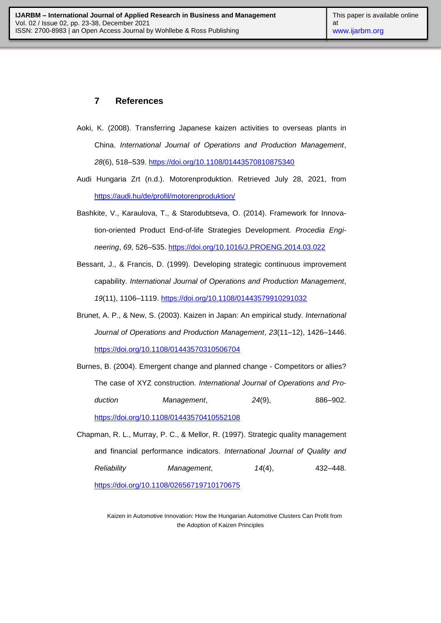# **7 References**

- Aoki, K. (2008). Transferring Japanese kaizen activities to overseas plants in China. *International Journal of Operations and Production Management*, *28*(6), 518–539.<https://doi.org/10.1108/01443570810875340>
- Audi Hungaria Zrt (n.d.). Motorenproduktion. Retrieved July 28, 2021, from <https://audi.hu/de/profil/motorenproduktion/>
- Bashkite, V., Karaulova, T., & Starodubtseva, O. (2014). Framework for Innovation-oriented Product End-of-life Strategies Development. *Procedia Engineering*, *69*, 526–535.<https://doi.org/10.1016/J.PROENG.2014.03.022>
- Bessant, J., & Francis, D. (1999). Developing strategic continuous improvement capability. *International Journal of Operations and Production Management*, *19*(11), 1106–1119.<https://doi.org/10.1108/01443579910291032>
- Brunet, A. P., & New, S. (2003). Kaizen in Japan: An empirical study. *International Journal of Operations and Production Management*, *23*(11–12), 1426–1446. <https://doi.org/10.1108/01443570310506704>
- Burnes, B. (2004). Emergent change and planned change Competitors or allies? The case of XYZ construction. *International Journal of Operations and Production Management*, *24*(9), 886–902. <https://doi.org/10.1108/01443570410552108>
- Chapman, R. L., Murray, P. C., & Mellor, R. (1997). Strategic quality management and financial performance indicators. *International Journal of Quality and Reliability Management*, *14*(4), 432–448.

<https://doi.org/10.1108/02656719710170675>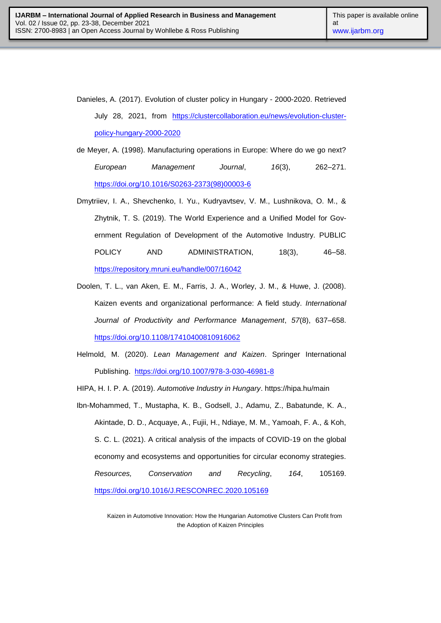Danieles, A. (2017). Evolution of cluster policy in Hungary - 2000-2020. Retrieved July 28, 2021, from [https://clustercollaboration.eu/news/evolution-cluster](https://clustercollaboration.eu/news/evolution-cluster-policy-hungary-2000-2020)[policy-hungary-2000-2020](https://clustercollaboration.eu/news/evolution-cluster-policy-hungary-2000-2020)

- de Meyer, A. (1998). Manufacturing operations in Europe: Where do we go next? *European Management Journal*, *16*(3), 262–271. [https://doi.org/10.1016/S0263-2373\(98\)00003-6](https://doi.org/10.1016/S0263-2373(98)00003-6)
- Dmytriiev, I. A., Shevchenko, I. Yu., Kudryavtsev, V. M., Lushnikova, O. M., & Zhytnik, T. S. (2019). The World Experience and a Unified Model for Government Regulation of Development of the Automotive Industry. PUBLIC POLICY AND ADMINISTRATION, 18(3), 46-58. <https://repository.mruni.eu/handle/007/16042>
- Doolen, T. L., van Aken, E. M., Farris, J. A., Worley, J. M., & Huwe, J. (2008). Kaizen events and organizational performance: A field study. *International Journal of Productivity and Performance Management*, *57*(8), 637–658. <https://doi.org/10.1108/17410400810916062>
- Helmold, M. (2020). *Lean Management and Kaizen*. Springer International Publishing. <https://doi.org/10.1007/978-3-030-46981-8>

HIPA, H. I. P. A. (2019). *Automotive Industry in Hungary*.<https://hipa.hu/main>

Ibn-Mohammed, T., Mustapha, K. B., Godsell, J., Adamu, Z., Babatunde, K. A., Akintade, D. D., Acquaye, A., Fujii, H., Ndiaye, M. M., Yamoah, F. A., & Koh, S. C. L. (2021). A critical analysis of the impacts of COVID-19 on the global economy and ecosystems and opportunities for circular economy strategies. *Resources, Conservation and Recycling*, *164*, 105169. <https://doi.org/10.1016/J.RESCONREC.2020.105169>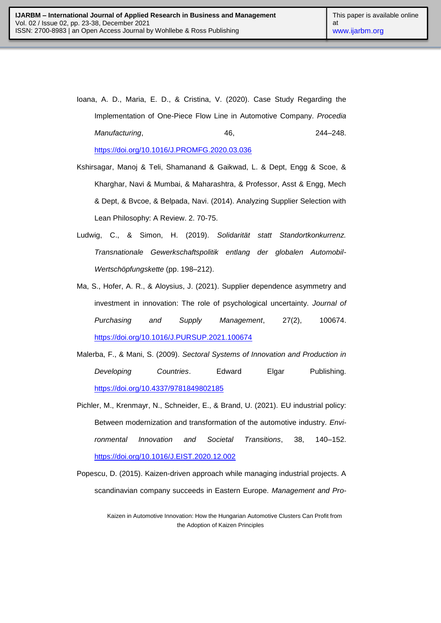- Ioana, A. D., Maria, E. D., & Cristina, V. (2020). Case Study Regarding the Implementation of One-Piece Flow Line in Automotive Company. *Procedia Manufacturing*, 46, 244–248. <https://doi.org/10.1016/J.PROMFG.2020.03.036>
- Kshirsagar, Manoj & Teli, Shamanand & Gaikwad, L. & Dept, Engg & Scoe, & Kharghar, Navi & Mumbai, & Maharashtra, & Professor, Asst & Engg, Mech & Dept, & Bvcoe, & Belpada, Navi. (2014). Analyzing Supplier Selection with Lean Philosophy: A Review. 2. 70-75.
- Ludwig, C., & Simon, H. (2019). *Solidarität statt Standortkonkurrenz. Transnationale Gewerkschaftspolitik entlang der globalen Automobil-Wertschöpfungskette* (pp. 198–212).
- Ma, S., Hofer, A. R., & Aloysius, J. (2021). Supplier dependence asymmetry and investment in innovation: The role of psychological uncertainty. *Journal of Purchasing and Supply Management*, 27(2), 100674. <https://doi.org/10.1016/J.PURSUP.2021.100674>
- Malerba, F., & Mani, S. (2009). *Sectoral Systems of Innovation and Production in Developing Countries*. Edward Elgar Publishing. <https://doi.org/10.4337/9781849802185>
- Pichler, M., Krenmayr, N., Schneider, E., & Brand, U. (2021). EU industrial policy: Between modernization and transformation of the automotive industry. *Environmental Innovation and Societal Transitions*, 38, 140–152. <https://doi.org/10.1016/J.EIST.2020.12.002>
- Popescu, D. (2015). Kaizen-driven approach while managing industrial projects. A scandinavian company succeeds in Eastern Europe. *Management and Pro-*

Kaizen in Automotive Innovation: How the Hungarian Automotive Clusters Can Profit from the Adoption of Kaizen Principles